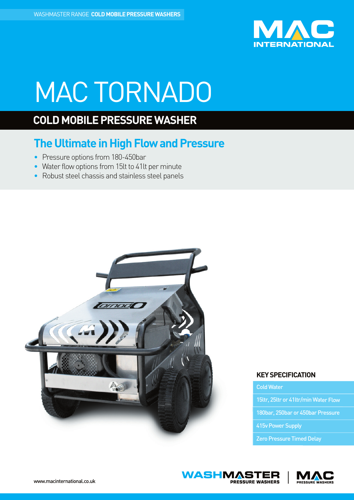

# MACTORNADO

## **COLD MOBILE PRESSURE WASHER**

## **The Ultimate in High Flow and Pressure**

- Pressure options from 180-450bar
- Water flow options from 15lt to 41lt per minute
- Robust steel chassis and stainless steel panels



### **KEYSPECIFICATION**

ColdWater

15ltr, 25ltr or 41ltr/min Water Flow

180bar, 250bar or 450bar Pressure

415v Power Supply

Zero Pressure Timed Delay